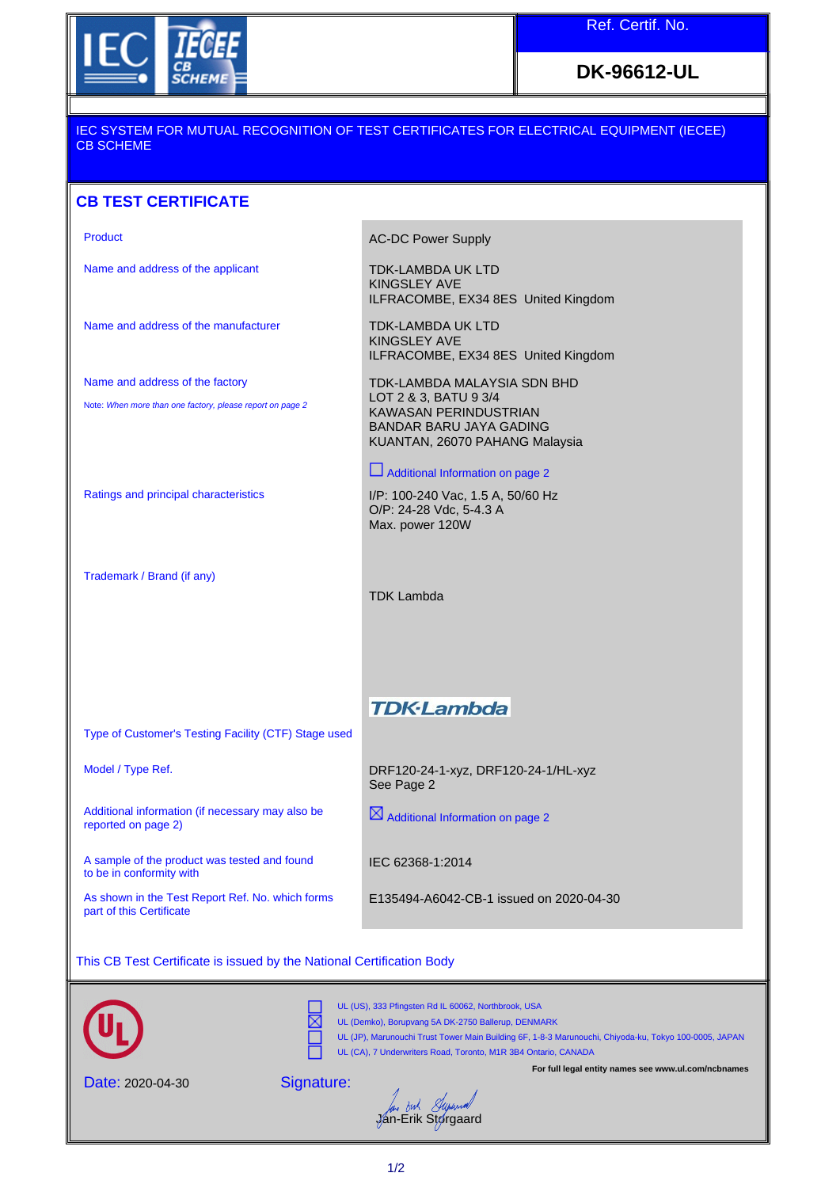

**DK-96612-UL**

## IEC SYSTEM FOR MUTUAL RECOGNITION OF TEST CERTIFICATES FOR ELECTRICAL EQUIPMENT (IECEE) CB SCHEME

## **CB TEST CERTIFICATE**

Product **AC-DC Power Supply** Name and address of the applicant TDK-LAMBDA UK LTD KINGSLEY AVE ILFRACOMBE, EX34 8ES United Kingdom Name and address of the manufacturer TDK-LAMBDA UK LTD KINGSLEY AVE ILFRACOMBE, EX34 8ES United Kingdom Name and address of the factory TDK-LAMBDA MALAYSIA SDN BHD LOT 2 & 3, BATU 9 3/4 Note: When more than one factory, please report on page 2 KAWASAN PERINDUSTRIAN BANDAR BARU JAYA GADING KUANTAN, 26070 PAHANG Malaysia Additional Information on page 2 Ratings and principal characteristics I/P: 100-240 Vac, 1.5 A, 50/60 Hz O/P: 24-28 Vdc, 5-4.3 A Max. power 120W Trademark / Brand (if any) TDK Lambda **TDK-Lambda** Type of Customer's Testing Facility (CTF) Stage used

Additional information (if necessary may also be reported on page 2)

A sample of the product was tested and found to be in conformity with

As shown in the Test Report Ref. No. which forms part of this Certificate

Model / Type Ref. https://www.britan.com/del/ Type Ref. 20-24-1-xyz, DRF120-24-1/HL-xyz See Page 2

 $\boxtimes$  Additional Information on page 2

IEC 62368-1:2014

E135494-A6042-CB-1 issued on 2020-04-30

This CB Test Certificate is issued by the National Certification Body



Date: 2020-04-30

Signature:

Jan *Buk Stywood*<br>Jan-Erik Storgaard